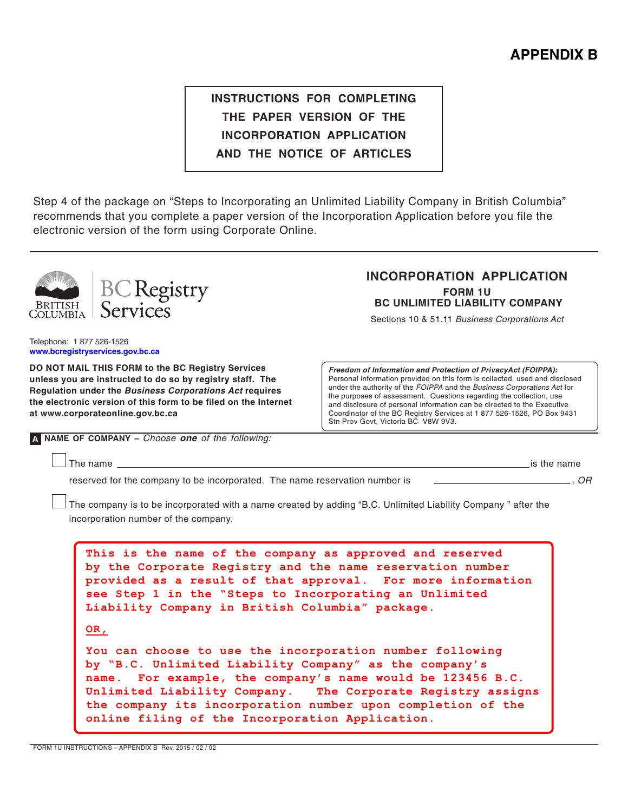# **instructions for completing the paper version of the incorporation application and the notice of articles**

Step 4 of the package on "Steps to Incorporating an Unlimited Liability Company in British Columbia" recommends that you complete a paper version of the Incorporation Application before you file the electronic version of the form using Corporate Online.



**DO NOT MAIL THIS FORM to the BC Registry Services unless you are instructed to do so by registry staff. The Regulation under the Business Corporations Act requires the electronic version of this form to be filed on the Internet at www.corporateonline.gov.bc.ca**

**Freedom of Information and Protection of PrivacyAct (FOIPPA):** Personal information provided on this form is collected, used and disclosed under the authority of the FOIPPA and the Business Corporations Act for the purposes of assessment. Questions regarding the collection, use and disclosure of personal information can be directed to the Executive Coordinator of the BC Registry Services at 1 877 526-1526, PO Box 9431 Stn Prov Govt, Victoria BC V8W 9V3.

**A name of company –** Choose **one** of the following:

The name  $\frac{\phantom{z}}{z}$  is the name

reserved for the company to be incorporated. The name reservation number is  $\Box$ 

The company is to be incorporated with a name created by adding "B.C. Unlimited Liability Company " after the incorporation number of the company.

**This is the name of the company as approved and reserved by the Corporate Registry and the name reservation number provided as a result of that approval. For more information see Step 1 in the "Steps to Incorporating an Unlimited Liability Company in British Columbia" package. OR, You can choose to use the incorporation number following by "B.C. Unlimited Liability Company" as the company's name. For example, the company's name would be 123456 B.C. Unlimited Liability Company. The Corporate Registry assigns the company its incorporation number upon completion of the online filing of the Incorporation Application.** 

form 1U INSTRUCTIONS – Appendix b Rev. 2015 / 02 / 02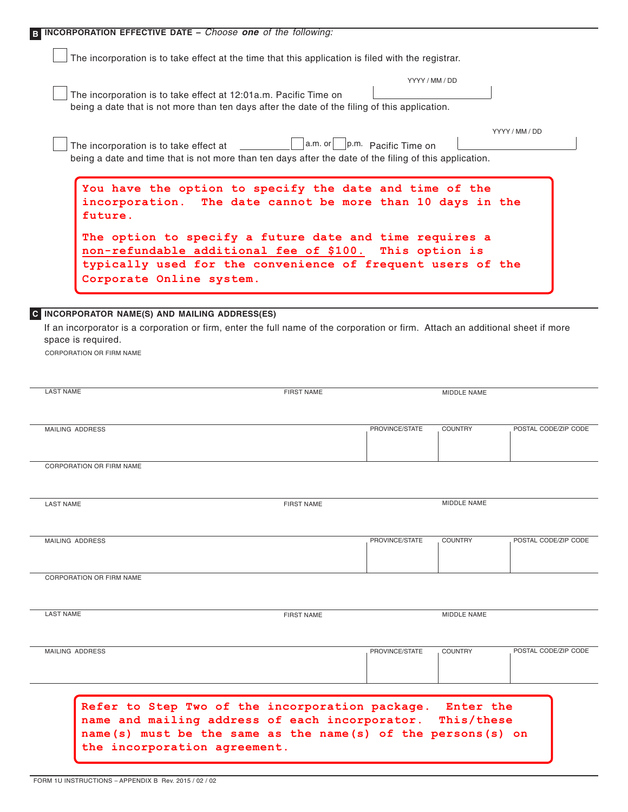| B INCORPORATION EFFECTIVE DATE - Choose one of the following:                                                                                                                                                                              |                                             |                                                               |                    |                      |
|--------------------------------------------------------------------------------------------------------------------------------------------------------------------------------------------------------------------------------------------|---------------------------------------------|---------------------------------------------------------------|--------------------|----------------------|
| The incorporation is to take effect at the time that this application is filed with the registrar.                                                                                                                                         |                                             |                                                               |                    |                      |
| The incorporation is to take effect at 12:01a.m. Pacific Time on<br>being a date that is not more than ten days after the date of the filing of this application.                                                                          |                                             | YYYY / MM / DD                                                |                    |                      |
| The incorporation is to take effect at<br>being a date and time that is not more than ten days after the date of the filing of this application.                                                                                           |                                             | $ a.m.$ or $  \underline{\hspace{2cm}}  p.m.$ Pacific Time on |                    | YYYY / MM / DD       |
| You have the option to specify the date and time of the<br>incorporation.<br>future.<br>The option to specify a future date and time requires a<br>non-refundable additional fee of \$100.                                                 | The date cannot be more than 10 days in the | This option is                                                |                    |                      |
| typically used for the convenience of frequent users of the<br>Corporate Online system.                                                                                                                                                    |                                             |                                                               |                    |                      |
| C INCORPORATOR NAME(S) AND MAILING ADDRESS(ES)<br>If an incorporator is a corporation or firm, enter the full name of the corporation or firm. Attach an additional sheet if more<br>space is required.<br><b>CORPORATION OR FIRM NAME</b> |                                             |                                                               |                    |                      |
| <b>LAST NAME</b>                                                                                                                                                                                                                           | <b>FIRST NAME</b>                           |                                                               | MIDDLE NAME        |                      |
| MAILING ADDRESS                                                                                                                                                                                                                            |                                             | PROVINCE/STATE                                                | <b>COUNTRY</b>     | POSTAL CODE/ZIP CODE |
| CORPORATION OR FIRM NAME                                                                                                                                                                                                                   |                                             |                                                               |                    |                      |
| <b>LAST NAME</b>                                                                                                                                                                                                                           | <b>FIRST NAME</b>                           |                                                               | <b>MIDDLE NAME</b> |                      |
| MAILING ADDRESS                                                                                                                                                                                                                            |                                             | PROVINCE/STATE                                                | <b>COUNTRY</b>     | POSTAL CODE/ZIP CODE |
| CORPORATION OR FIRM NAME                                                                                                                                                                                                                   |                                             |                                                               |                    |                      |
| <b>LAST NAME</b>                                                                                                                                                                                                                           | <b>FIRST NAME</b>                           |                                                               | MIDDLE NAME        |                      |
| <b>MAILING ADDRESS</b>                                                                                                                                                                                                                     |                                             | PROVINCE/STATE                                                | <b>COUNTRY</b>     | POSTAL CODE/ZIP CODE |
| Refer to Step Two of the incorporation package. Enter the                                                                                                                                                                                  |                                             |                                                               |                    |                      |
| name and mailing address of each incorporator. This/these<br>name(s) must be the same as the name(s) of the persons(s) on<br>the incorporation agreement.                                                                                  |                                             |                                                               |                    |                      |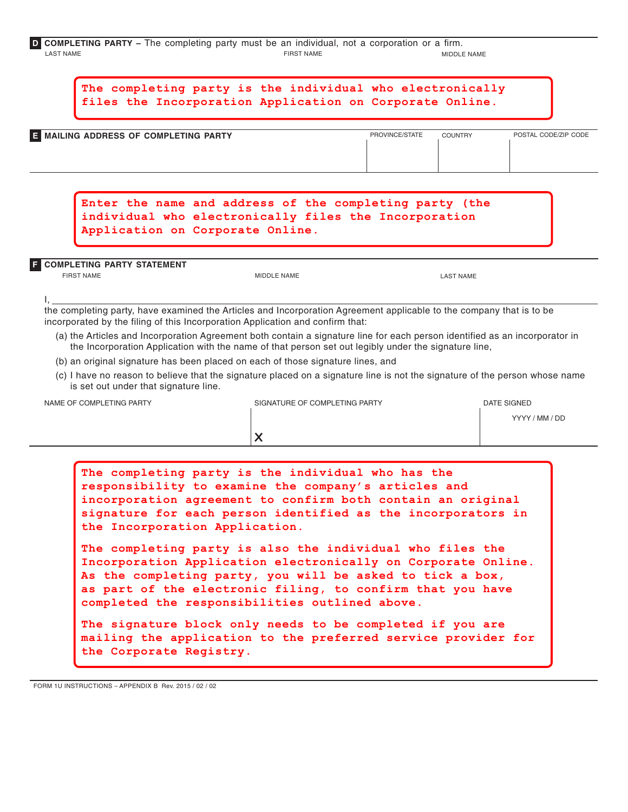| <b>D</b> COMPLETING PARTY – The completing party must be an individual, not a corporation or a firm. |  |  |  |                   |  |  |                    |
|------------------------------------------------------------------------------------------------------|--|--|--|-------------------|--|--|--------------------|
| LAST NAME                                                                                            |  |  |  | <b>FIRST NAME</b> |  |  | <b>MIDDLE NAME</b> |

| <b>COUNTRY</b><br>POSTAL CODE/ZIP CODE<br>PROVINCE/STATE<br>Enter the name and address of the completing party (the<br>individual who electronically files the Incorporation                                                                                                                                                                                       |
|--------------------------------------------------------------------------------------------------------------------------------------------------------------------------------------------------------------------------------------------------------------------------------------------------------------------------------------------------------------------|
|                                                                                                                                                                                                                                                                                                                                                                    |
|                                                                                                                                                                                                                                                                                                                                                                    |
| <b>LAST NAME</b>                                                                                                                                                                                                                                                                                                                                                   |
| (a) the Articles and Incorporation Agreement both contain a signature line for each person identified as an incorporator in<br>the Incorporation Application with the name of that person set out legibly under the signature line,<br>(c) I have no reason to believe that the signature placed on a signature line is not the signature of the person whose name |
| <b>DATE SIGNED</b><br>YYYY / MM / DD                                                                                                                                                                                                                                                                                                                               |
| The completing party is the individual who has the<br>responsibility to examine the company's articles and<br>incorporation agreement to confirm both contain an original<br>signature for each person identified as the incorporators in                                                                                                                          |

**The signature block only needs to be completed if you are mailing the application to the preferred service provider for the Corporate Registry.**

form 1U INSTRUCTIONS – Appendix b Rev. 2015 / 02 / 02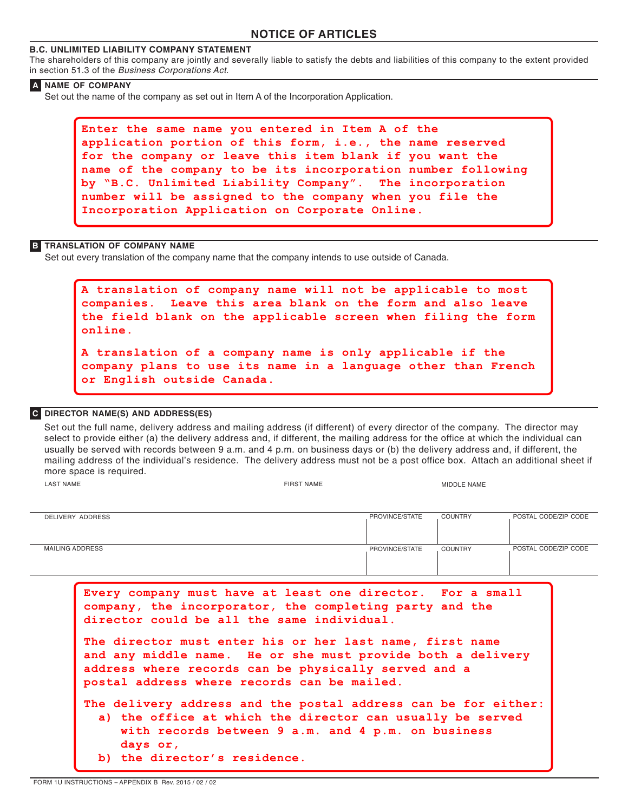# **NOTICE OF ARTICLES**

## **B.C. UNLIMITED LIABILITY COMPANY STATEMENT**

The shareholders of this company are jointly and severally liable to satisfy the debts and liabilities of this company to the extent provided in section 51.3 of the Business Corporations Act.

#### **A NAME of company**

Set out the name of the company as set out in Item A of the Incorporation Application.

```
Enter the same name you entered in Item A of the 
application portion of this form, i.e., the name reserved 
for the company or leave this item blank if you want the 
name of the company to be its incorporation number following 
by "B.C. Unlimited Liability Company". The incorporation 
number will be assigned to the company when you file the 
Incorporation Application on Corporate Online.
```
#### **B TRANSLATION OF COMPANY NAME**

Set out every translation of the company name that the company intends to use outside of Canada.

```
A translation of company name will not be applicable to most 
companies. Leave this area blank on the form and also leave 
the field blank on the applicable screen when filing the form 
online.
A translation of a company name is only applicable if the 
company plans to use its name in a language other than French 
or English outside Canada.
```
#### **C DIRECTOR NAME(S) AND ADDRESS(ES)**

last NAME Set out the full name, delivery address and mailing address (if different) of every director of the company. The director may select to provide either (a) the delivery address and, if different, the mailing address for the office at which the individual can usually be served with records between 9 a.m. and 4 p.m. on business days or (b) the delivery address and, if different, the mailing address of the individual's residence. The delivery address must not be a post office box. Attach an additional sheet if more space is required. FIRST NAME MIDDLE NAME

| DELIVERY ADDRESS | PROVINCE/STATE | <b>COUNTRY</b> | POSTAL CODE/ZIP CODE |
|------------------|----------------|----------------|----------------------|
|                  |                |                |                      |
|                  |                |                |                      |
| MAILING ADDRESS  | PROVINCE/STATE | <b>COUNTRY</b> | POSTAL CODE/ZIP CODE |
|                  |                |                |                      |
|                  |                |                |                      |

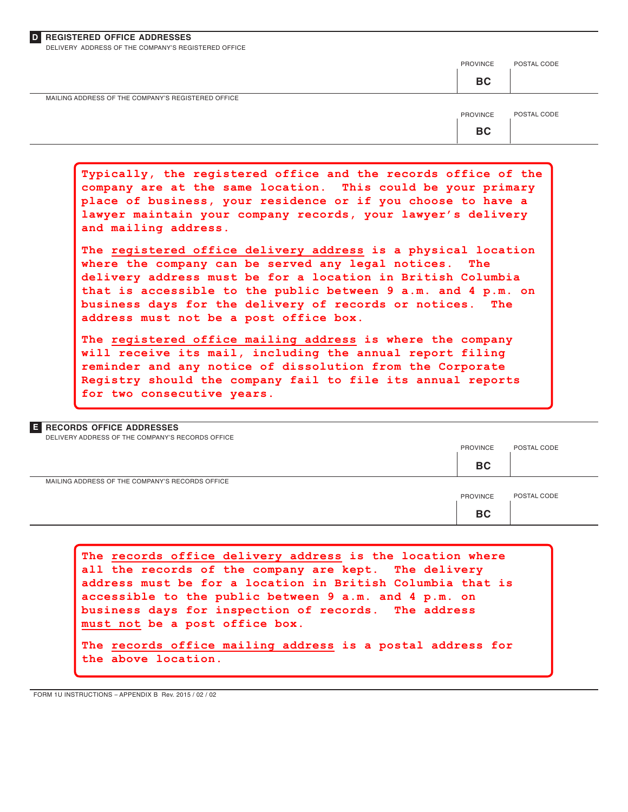| <b>D</b> REGISTERED OFFICE ADDRESSES |  |
|--------------------------------------|--|
|--------------------------------------|--|

delivery address of the company's registered office

|                                                    | PROVINCE  | POSTAL CODE |
|----------------------------------------------------|-----------|-------------|
|                                                    | <b>BC</b> |             |
| MAILING ADDRESS OF THE COMPANY'S REGISTERED OFFICE |           |             |
|                                                    | PROVINCE  | POSTAL CODE |
|                                                    | <b>BC</b> |             |
|                                                    |           |             |

**Typically, the registered office and the records office of the company are at the same location. This could be your primary place of business, your residence or if you choose to have a lawyer maintain your company records, your lawyer's delivery and mailing address.**

**The registered office delivery address is a physical location where the company can be served any legal notices. The delivery address must be for a location in British Columbia that is accessible to the public between 9 a.m. and 4 p.m. on business days for the delivery of records or notices. The address must not be a post office box.**

**The registered office mailing address is where the company will receive its mail, including the annual report filing reminder and any notice of dissolution from the Corporate Registry should the company fail to file its annual reports for two consecutive years.**

| <b>E</b> RECORDS OFFICE ADDRESSES                |                 |             |
|--------------------------------------------------|-----------------|-------------|
| DELIVERY ADDRESS OF THE COMPANY'S RECORDS OFFICE |                 |             |
|                                                  | <b>PROVINCE</b> | POSTAL CODE |
|                                                  | <b>BC</b>       |             |
| MAILING ADDRESS OF THE COMPANY'S RECORDS OFFICE  |                 |             |
|                                                  | <b>PROVINCE</b> | POSTAL CODE |
|                                                  | <b>BC</b>       |             |
|                                                  |                 |             |

**The records office delivery address is the location where all the records of the company are kept. The delivery address must be for a location in British Columbia that is accessible to the public between 9 a.m. and 4 p.m. on business days for inspection of records. The address must not be a post office box. The records office mailing address is a postal address for the above location.**

form 1U INSTRUCTIONS – Appendix b Rev. 2015 / 02 / 02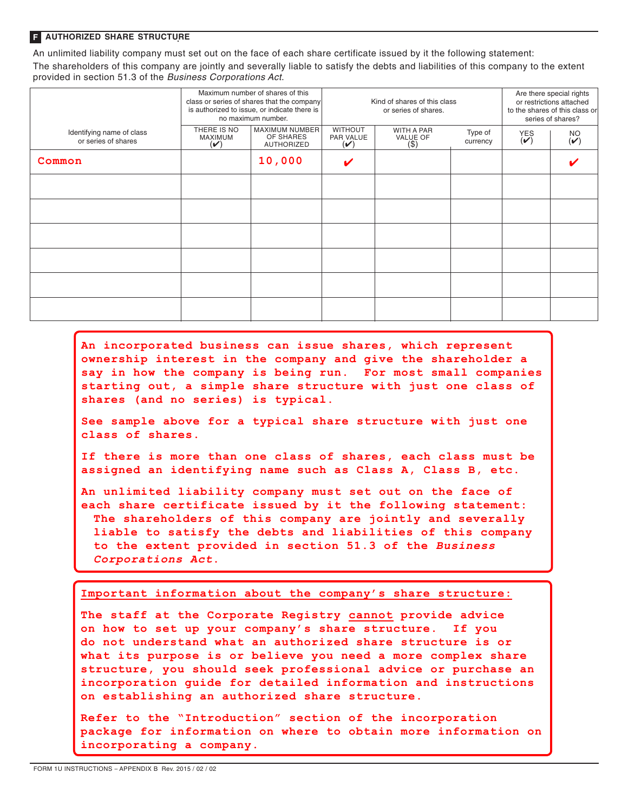#### **F authorized share structure**

An unlimited liability company must set out on the face of each share certificate issued by it the following statement: The shareholders of this company are jointly and severally liable to satisfy the debts and liabilities of this company to the extent provided in section 51.3 of the Business Corporations Act.

|                                                  |                                                        | Maximum number of shares of this<br>class or series of shares that the company<br>is authorized to issue, or indicate there is<br>no maximum number. | Kind of shares of this class<br>or series of shares. |                                   |                     | Are there special rights<br>or restrictions attached<br>to the shares of this class or<br>series of shares? |                                       |  |
|--------------------------------------------------|--------------------------------------------------------|------------------------------------------------------------------------------------------------------------------------------------------------------|------------------------------------------------------|-----------------------------------|---------------------|-------------------------------------------------------------------------------------------------------------|---------------------------------------|--|
| Identifying name of class<br>or series of shares | THERE IS NO<br>MAXIMUM<br>$(\boldsymbol{\mathcal{U}})$ | MAXIMUM NUMBER<br>OF SHARES<br>AUTHORIZED                                                                                                            | <b>WITHOUT</b><br>PAR VALUE<br>$(\checkmark)$        | WITH A PAR<br>VALUE OF<br>$($ \$) | Type of<br>currency | $\overset{\text{YES}}{(\triangleright)}$                                                                    | $\overset{\text{NO}}{\mathbf{(\nu)}}$ |  |
| Common                                           |                                                        | 10,000                                                                                                                                               | V                                                    |                                   |                     |                                                                                                             |                                       |  |
|                                                  |                                                        |                                                                                                                                                      |                                                      |                                   |                     |                                                                                                             |                                       |  |
|                                                  |                                                        |                                                                                                                                                      |                                                      |                                   |                     |                                                                                                             |                                       |  |
|                                                  |                                                        |                                                                                                                                                      |                                                      |                                   |                     |                                                                                                             |                                       |  |
|                                                  |                                                        |                                                                                                                                                      |                                                      |                                   |                     |                                                                                                             |                                       |  |
|                                                  |                                                        |                                                                                                                                                      |                                                      |                                   |                     |                                                                                                             |                                       |  |
|                                                  |                                                        |                                                                                                                                                      |                                                      |                                   |                     |                                                                                                             |                                       |  |

**An incorporated business can issue shares, which represent ownership interest in the company and give the shareholder a say in how the company is being run. For most small companies starting out, a simple share structure with just one class of shares (and no series) is typical.**

**See sample above for a typical share structure with just one class of shares.**

**If there is more than one class of shares, each class must be assigned an identifying name such as Class A, Class B, etc.**

**An unlimited liability company must set out on the face of each share certificate issued by it the following statement: The shareholders of this company are jointly and severally liable to satisfy the debts and liabilities of this company to the extent provided in section 51.3 of the** *Business Corporations Act***.** 

**Important information about the company's share structure:**

**The staff at the Corporate Registry cannot provide advice on how to set up your company's share structure. If you do not understand what an authorized share structure is or what its purpose is or believe you need a more complex share structure, you should seek professional advice or purchase an incorporation guide for detailed information and instructions on establishing an authorized share structure.**

**Refer to the "Introduction" section of the incorporation package for information on where to obtain more information on incorporating a company.**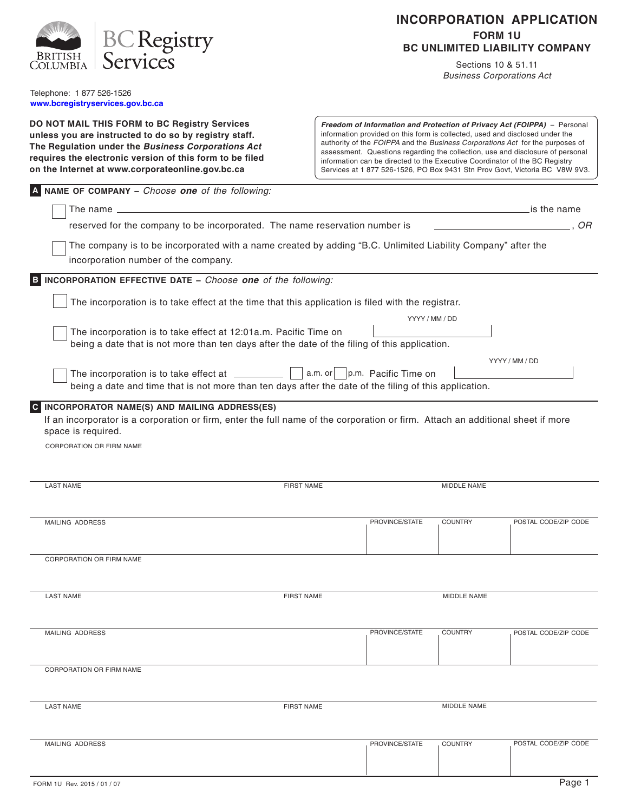|                                                                                                                                                                                                                             |                   | <b>INCORPORATION APPLICATION</b> |                                  |                     |                                                                                                                                                                                                                                                                                                                                                                                                                                                                                           |  |  |  |
|-----------------------------------------------------------------------------------------------------------------------------------------------------------------------------------------------------------------------------|-------------------|----------------------------------|----------------------------------|---------------------|-------------------------------------------------------------------------------------------------------------------------------------------------------------------------------------------------------------------------------------------------------------------------------------------------------------------------------------------------------------------------------------------------------------------------------------------------------------------------------------------|--|--|--|
| <b>BC Registry</b>                                                                                                                                                                                                          |                   | <b>FORM 1U</b>                   |                                  |                     |                                                                                                                                                                                                                                                                                                                                                                                                                                                                                           |  |  |  |
| <b>BRITISH</b><br>Services                                                                                                                                                                                                  |                   |                                  |                                  |                     | <b>BC UNLIMITED LIABILITY COMPANY</b>                                                                                                                                                                                                                                                                                                                                                                                                                                                     |  |  |  |
| `OLUMBI A                                                                                                                                                                                                                   |                   |                                  |                                  | Sections 10 & 51.11 | <b>Business Corporations Act</b>                                                                                                                                                                                                                                                                                                                                                                                                                                                          |  |  |  |
| Telephone: 1 877 526-1526<br>www.bcregistryservices.gov.bc.ca                                                                                                                                                               |                   |                                  |                                  |                     |                                                                                                                                                                                                                                                                                                                                                                                                                                                                                           |  |  |  |
| DO NOT MAIL THIS FORM to BC Registry Services                                                                                                                                                                               |                   |                                  |                                  |                     |                                                                                                                                                                                                                                                                                                                                                                                                                                                                                           |  |  |  |
| unless you are instructed to do so by registry staff.<br>The Regulation under the Business Corporations Act<br>requires the electronic version of this form to be filed<br>on the Internet at www.corporateonline.gov.bc.ca |                   |                                  |                                  |                     | Freedom of Information and Protection of Privacy Act (FOIPPA) - Personal<br>information provided on this form is collected, used and disclosed under the<br>authority of the FOIPPA and the Business Corporations Act for the purposes of<br>assessment. Questions regarding the collection, use and disclosure of personal<br>information can be directed to the Executive Coordinator of the BC Registry<br>Services at 1 877 526-1526, PO Box 9431 Stn Prov Govt, Victoria BC V8W 9V3. |  |  |  |
| A NAME OF COMPANY - Choose one of the following:                                                                                                                                                                            |                   |                                  |                                  |                     |                                                                                                                                                                                                                                                                                                                                                                                                                                                                                           |  |  |  |
| The name $\equiv$                                                                                                                                                                                                           |                   |                                  |                                  |                     | is the name                                                                                                                                                                                                                                                                                                                                                                                                                                                                               |  |  |  |
| reserved for the company to be incorporated. The name reservation number is                                                                                                                                                 |                   |                                  |                                  |                     | . OR                                                                                                                                                                                                                                                                                                                                                                                                                                                                                      |  |  |  |
| The company is to be incorporated with a name created by adding "B.C. Unlimited Liability Company" after the<br>incorporation number of the company.                                                                        |                   |                                  |                                  |                     |                                                                                                                                                                                                                                                                                                                                                                                                                                                                                           |  |  |  |
| INCORPORATION EFFECTIVE DATE - Choose one of the following:<br>B.                                                                                                                                                           |                   |                                  |                                  |                     |                                                                                                                                                                                                                                                                                                                                                                                                                                                                                           |  |  |  |
| The incorporation is to take effect at the time that this application is filed with the registrar.                                                                                                                          |                   |                                  |                                  |                     |                                                                                                                                                                                                                                                                                                                                                                                                                                                                                           |  |  |  |
|                                                                                                                                                                                                                             |                   |                                  | YYYY / MM / DD                   |                     |                                                                                                                                                                                                                                                                                                                                                                                                                                                                                           |  |  |  |
| The incorporation is to take effect at 12:01a.m. Pacific Time on<br>being a date that is not more than ten days after the date of the filing of this application.                                                           |                   |                                  |                                  |                     | YYYY / MM / DD                                                                                                                                                                                                                                                                                                                                                                                                                                                                            |  |  |  |
| The incorporation is to take effect at _________<br>being a date and time that is not more than ten days after the date of the filing of this application.                                                                  |                   |                                  | a.m. or     p.m. Pacific Time on |                     |                                                                                                                                                                                                                                                                                                                                                                                                                                                                                           |  |  |  |
| C INCORPORATOR NAME(S) AND MAILING ADDRESS(ES)                                                                                                                                                                              |                   |                                  |                                  |                     |                                                                                                                                                                                                                                                                                                                                                                                                                                                                                           |  |  |  |
| If an incorporator is a corporation or firm, enter the full name of the corporation or firm. Attach an additional sheet if more<br>space is required.                                                                       |                   |                                  |                                  |                     |                                                                                                                                                                                                                                                                                                                                                                                                                                                                                           |  |  |  |
| <b>CORPORATION OR FIRM NAME</b>                                                                                                                                                                                             |                   |                                  |                                  |                     |                                                                                                                                                                                                                                                                                                                                                                                                                                                                                           |  |  |  |
|                                                                                                                                                                                                                             |                   |                                  |                                  |                     |                                                                                                                                                                                                                                                                                                                                                                                                                                                                                           |  |  |  |
|                                                                                                                                                                                                                             |                   |                                  |                                  |                     |                                                                                                                                                                                                                                                                                                                                                                                                                                                                                           |  |  |  |
| <b>LAST NAME</b>                                                                                                                                                                                                            | <b>FIRST NAME</b> |                                  |                                  | <b>MIDDLE NAME</b>  |                                                                                                                                                                                                                                                                                                                                                                                                                                                                                           |  |  |  |
|                                                                                                                                                                                                                             |                   |                                  |                                  |                     |                                                                                                                                                                                                                                                                                                                                                                                                                                                                                           |  |  |  |
| <b>MAILING ADDRESS</b>                                                                                                                                                                                                      |                   |                                  | PROVINCE/STATE                   | <b>COUNTRY</b>      | POSTAL CODE/ZIP CODE                                                                                                                                                                                                                                                                                                                                                                                                                                                                      |  |  |  |
|                                                                                                                                                                                                                             |                   |                                  |                                  |                     |                                                                                                                                                                                                                                                                                                                                                                                                                                                                                           |  |  |  |
| <b>CORPORATION OR FIRM NAME</b>                                                                                                                                                                                             |                   |                                  |                                  |                     |                                                                                                                                                                                                                                                                                                                                                                                                                                                                                           |  |  |  |
|                                                                                                                                                                                                                             |                   |                                  |                                  |                     |                                                                                                                                                                                                                                                                                                                                                                                                                                                                                           |  |  |  |
| <b>LAST NAME</b>                                                                                                                                                                                                            | <b>FIRST NAME</b> |                                  |                                  | MIDDLE NAME         |                                                                                                                                                                                                                                                                                                                                                                                                                                                                                           |  |  |  |
|                                                                                                                                                                                                                             |                   |                                  |                                  |                     |                                                                                                                                                                                                                                                                                                                                                                                                                                                                                           |  |  |  |
| MAILING ADDRESS                                                                                                                                                                                                             |                   |                                  | PROVINCE/STATE                   | <b>COUNTRY</b>      | POSTAL CODE/ZIP CODE                                                                                                                                                                                                                                                                                                                                                                                                                                                                      |  |  |  |
|                                                                                                                                                                                                                             |                   |                                  |                                  |                     |                                                                                                                                                                                                                                                                                                                                                                                                                                                                                           |  |  |  |
|                                                                                                                                                                                                                             |                   |                                  |                                  |                     |                                                                                                                                                                                                                                                                                                                                                                                                                                                                                           |  |  |  |
| CORPORATION OR FIRM NAME                                                                                                                                                                                                    |                   |                                  |                                  |                     |                                                                                                                                                                                                                                                                                                                                                                                                                                                                                           |  |  |  |
|                                                                                                                                                                                                                             |                   |                                  |                                  |                     |                                                                                                                                                                                                                                                                                                                                                                                                                                                                                           |  |  |  |
| <b>LAST NAME</b>                                                                                                                                                                                                            | <b>FIRST NAME</b> |                                  |                                  | MIDDLE NAME         |                                                                                                                                                                                                                                                                                                                                                                                                                                                                                           |  |  |  |
|                                                                                                                                                                                                                             |                   |                                  |                                  |                     |                                                                                                                                                                                                                                                                                                                                                                                                                                                                                           |  |  |  |
| MAILING ADDRESS                                                                                                                                                                                                             |                   |                                  | PROVINCE/STATE                   | <b>COUNTRY</b>      | POSTAL CODE/ZIP CODE                                                                                                                                                                                                                                                                                                                                                                                                                                                                      |  |  |  |
|                                                                                                                                                                                                                             |                   |                                  |                                  |                     |                                                                                                                                                                                                                                                                                                                                                                                                                                                                                           |  |  |  |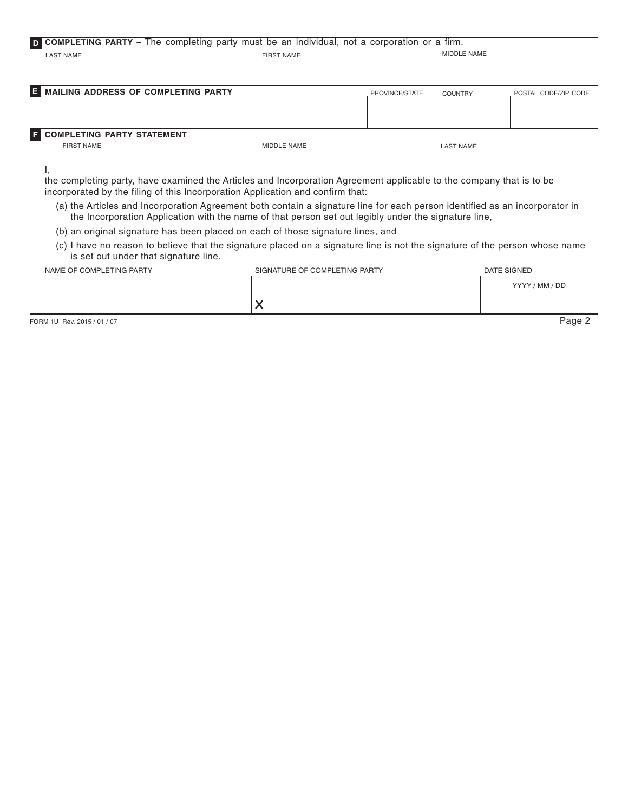# **D COMPLETING PARTY** – The completing party must be an individual, not a corporation or a firm. LAST NAME FIRST NAME MIDDLE NAME

| <b>E</b> MAILING ADDRESS OF COMPLETING PARTY             |             | PROVINCE/STATE | <b>COUNTRY</b> | POSTAL CODE/ZIP CODE |
|----------------------------------------------------------|-------------|----------------|----------------|----------------------|
| <b>E</b> COMPLETING PARTY STATEMENT<br><b>FIRST NAME</b> | MIDDLE NAME |                | LAST NAME      |                      |

I,

the completing party, have examined the Articles and Incorporation Agreement applicable to the company that is to be incorporated by the filing of this Incorporation Application and confirm that:

- (a) the Articles and Incorporation Agreement both contain a signature line for each person identified as an incorporator in the Incorporation Application with the name of that person set out legibly under the signature line,
- (b) an original signature has been placed on each of those signature lines, and
- (c) I have no reason to believe that the signature placed on a signature line is not the signature of the person whose name is set out under that signature line.

| NAME OF COMPLETING PARTY | SIGNATURE OF COMPLETING PARTY       | DATE SIGNED    |
|--------------------------|-------------------------------------|----------------|
|                          |                                     | YYYY / MM / DD |
|                          | $\tilde{\phantom{a}}$<br>$\sqrt{ }$ |                |

FORM 1U Rev. 2015 / 01 / 07 Page 2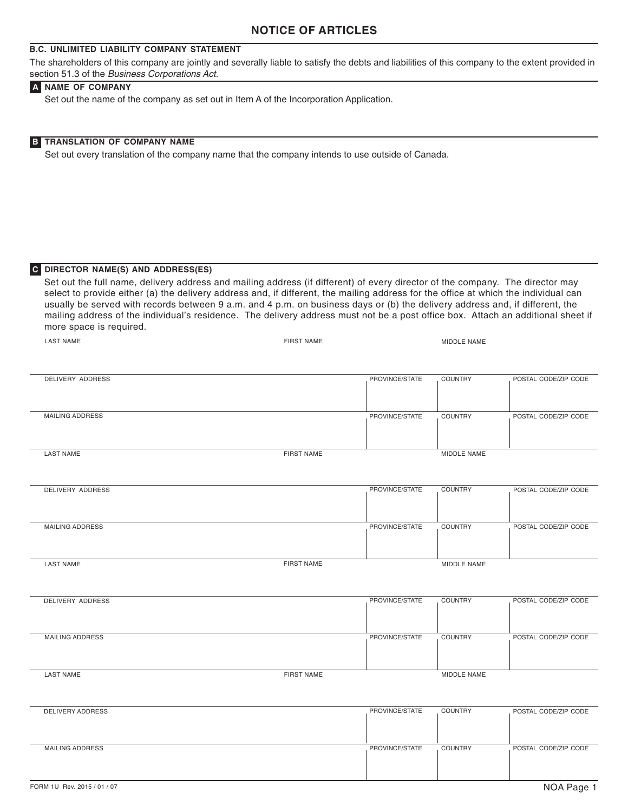# **NOTICE OF ARTICLES**

## **B.C. UNLIMITED LIABILITY COMPANY STATEMENT**

The shareholders of this company are jointly and severally liable to satisfy the debts and liabilities of this company to the extent provided in section 51.3 of the Business Corporations Act.

#### **A NAME OF COMPANY**

Set out the name of the company as set out in Item A of the Incorporation Application.

#### **B TRANSLATION OF COMPANY NAME**

Set out every translation of the company name that the company intends to use outside of Canada.

#### **C DIRECTOR NAME(S) AND ADDRESS(ES)**

Set out the full name, delivery address and mailing address (if different) of every director of the company. The director may select to provide either (a) the delivery address and, if different, the mailing address for the office at which the individual can usually be served with records between 9 a.m. and 4 p.m. on business days or (b) the delivery address and, if different, the mailing address of the individual's residence. The delivery address must not be a post office box. Attach an additional sheet if more space is required.

| <b>LAST NAME</b>       | <b>FIRST NAME</b> |                | MIDDLE NAME    |                      |
|------------------------|-------------------|----------------|----------------|----------------------|
|                        |                   |                |                |                      |
| DELIVERY ADDRESS       |                   | PROVINCE/STATE | COUNTRY        | POSTAL CODE/ZIP CODE |
| <b>MAILING ADDRESS</b> |                   | PROVINCE/STATE | <b>COUNTRY</b> | POSTAL CODE/ZIP CODE |
| <b>LAST NAME</b>       | FIRST NAME        |                | MIDDLE NAME    |                      |
| DELIVERY ADDRESS       |                   | PROVINCE/STATE | <b>COUNTRY</b> | POSTAL CODE/ZIP CODE |
| <b>MAILING ADDRESS</b> |                   | PROVINCE/STATE | <b>COUNTRY</b> | POSTAL CODE/ZIP CODE |
| <b>LAST NAME</b>       | <b>FIRST NAME</b> |                | MIDDLE NAME    |                      |
| DELIVERY ADDRESS       |                   | PROVINCE/STATE | <b>COUNTRY</b> | POSTAL CODE/ZIP CODE |
| <b>MAILING ADDRESS</b> |                   | PROVINCE/STATE | <b>COUNTRY</b> | POSTAL CODE/ZIP CODE |
| <b>LAST NAME</b>       | FIRST NAME        |                | MIDDLE NAME    |                      |
| DELIVERY ADDRESS       |                   | PROVINCE/STATE | <b>COUNTRY</b> | POSTAL CODE/ZIP CODE |
| MAILING ADDRESS        |                   | PROVINCE/STATE | COUNTRY        | POSTAL CODE/ZIP CODE |
|                        |                   |                |                |                      |